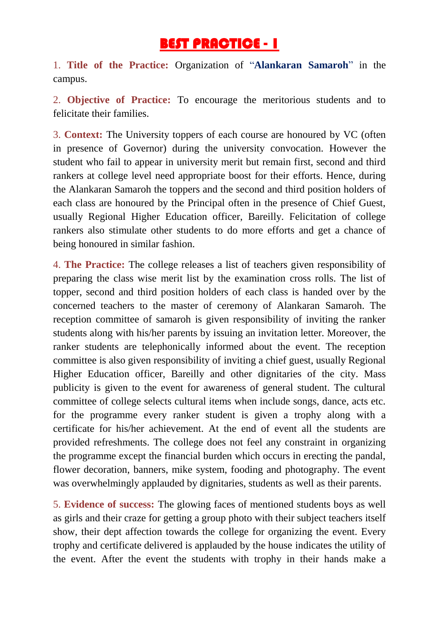## BEST PRACTICE - 1

1. **Title of the Practice:** Organization of "**Alankaran Samaroh**" in the campus.

2. **Objective of Practice:** To encourage the meritorious students and to felicitate their families.

3. **Context:** The University toppers of each course are honoured by VC (often in presence of Governor) during the university convocation. However the student who fail to appear in university merit but remain first, second and third rankers at college level need appropriate boost for their efforts. Hence, during the Alankaran Samaroh the toppers and the second and third position holders of each class are honoured by the Principal often in the presence of Chief Guest, usually Regional Higher Education officer, Bareilly. Felicitation of college rankers also stimulate other students to do more efforts and get a chance of being honoured in similar fashion.

4. **The Practice:** The college releases a list of teachers given responsibility of preparing the class wise merit list by the examination cross rolls. The list of topper, second and third position holders of each class is handed over by the concerned teachers to the master of ceremony of Alankaran Samaroh. The reception committee of samaroh is given responsibility of inviting the ranker students along with his/her parents by issuing an invitation letter. Moreover, the ranker students are telephonically informed about the event. The reception committee is also given responsibility of inviting a chief guest, usually Regional Higher Education officer, Bareilly and other dignitaries of the city. Mass publicity is given to the event for awareness of general student. The cultural committee of college selects cultural items when include songs, dance, acts etc. for the programme every ranker student is given a trophy along with a certificate for his/her achievement. At the end of event all the students are provided refreshments. The college does not feel any constraint in organizing the programme except the financial burden which occurs in erecting the pandal, flower decoration, banners, mike system, fooding and photography. The event was overwhelmingly applauded by dignitaries, students as well as their parents.

5. **Evidence of success:** The glowing faces of mentioned students boys as well as girls and their craze for getting a group photo with their subject teachers itself show, their dept affection towards the college for organizing the event. Every trophy and certificate delivered is applauded by the house indicates the utility of the event. After the event the students with trophy in their hands make a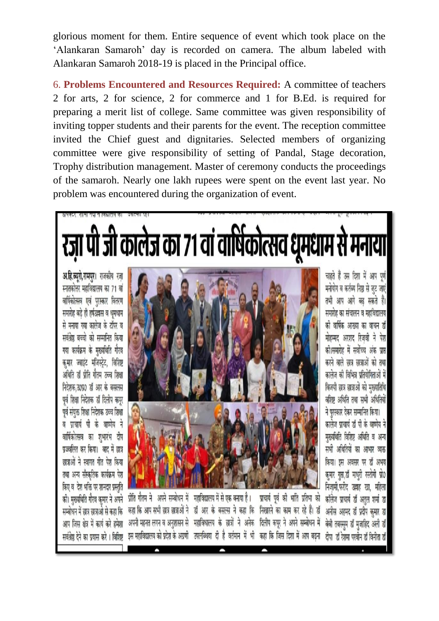glorious moment for them. Entire sequence of event which took place on the 'Alankaran Samaroh' day is recorded on camera. The album labeled with Alankaran Samaroh 2018-19 is placed in the Principal office.

6. **Problems Encountered and Resources Required:** A committee of teachers 2 for arts, 2 for science, 2 for commerce and 1 for B.Ed. is required for preparing a merit list of college. Same committee was given responsibility of inviting topper students and their parents for the event. The reception committee invited the Chief guest and dignitaries. Selected members of organizing committee were give responsibility of setting of Pandal, Stage decoration, Trophy distribution management. Master of ceremony conducts the proceedings of the samaroh. Nearly one lakh rupees were spent on the event last year. No problem was encountered during the organization of event.

रज़ा पी जी कालेज का 71 वां वार्षिकोत्सव धूमधाम से मनाया

अ.हि.ब्यूरो,रामपुर। राजकीय रज स्नातकोत्तर महाविद्यालय का 71 वां वार्षिकोत्सव एवं पुरस्कार वितरण समारोह बडे ही हर्षउझस व धमधाम से मनाया गया कालेज के टॉपर व सर्वश्रेष्ठ बच्चो को सम्मानित किया गया कार्यक्रम के मुख्यथिति गौरव कमार ज्वाइंट मजिस्टेट. विशिष्ट अर्थिति डॉ प्रीति गौतम उच्च शिक्षा निदेशक उ०प्र० डॉ आर के बसलस पूर्व शिक्षा निदेशक डॉ दिलीप कपूर पूर्व संयुक्त शिक्षा निदेशक उच्च शिक्षा व प्राचार्य पी के वाष्णेय ने वार्षिकोत्सव का शभारंभ दीप प्रज्जलित कर किया। बाद में छात्र छात्राओं ने स्वागत गीत पेश किया तथा अन्य सँस्कृतिक कार्यक्रम पेश किए व देश भक्ति पर शानदार प्रस्तुति की। मुख्यथिति गौरव कुमार ने अपने सम्बोधन में छात्र छात्राओ से कहा कि आप जिस क्षेत्र में कार्य करे हमेशा सर्वश्रेष्ठ देने का प्रयास करे । विशिष्ट



चाहते हैं उस दिशा में आप पुर्ण मनोयोग व कर्तब्य निष्ठा से जट जाएं तभी आप आगे बढ़ सकते हैं। समारोह का संचालन व महाविद्यालय की वार्षिक आख्या का वाचन डॉ मोहम्मद अरशद रिजवी ने पेश की।समारोह में सर्वोच्च अंक प्राप्त करने वाले छात्र छात्राओं को तथा कालेज की विभिन्न प्रतियोगिताओं में विजयी छात्र छात्राओं को मुख्यातिथि वशिष्ट अधिति तथा सभी अधितियों ने पुरस्कार देकर सम्मानित किया। कालेज प्राचार्य डॉ पी के वाष्णेय ने मुख्यथिति विशिष्ट अथिति व अन्य सभी अधितियों का आभार व्यक्त किया। इस अवसर पर डॉ अभय कुमार गुप्ता,डॉ माधुरी रस्तोगी प्रो0 निजामी,फरीद उल्लाह खा, महिला कॉलेज प्राचार्य डॉ अतल शर्मा डा अनीस अहमद डॉ प्रदीप कमार डा बेबी तबस्सुम डॉ मुजाहिद अली डॉ दीपा डॉ रेशमा परवीन डॉ विनीता डॉ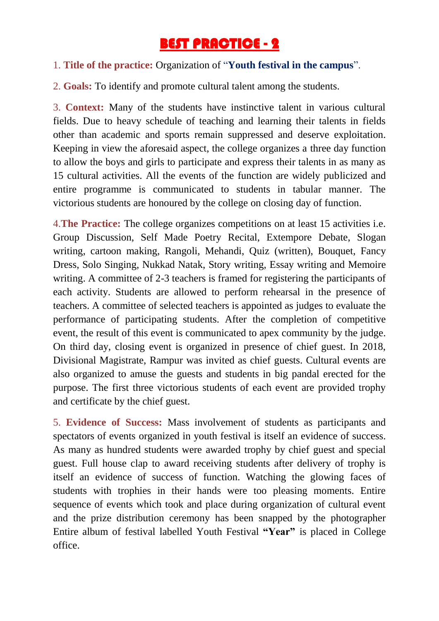## BEST PRACTICE - 2

## 1. **Title of the practice:** Organization of "**Youth festival in the campus**".

2. **Goals:** To identify and promote cultural talent among the students.

3. **Context:** Many of the students have instinctive talent in various cultural fields. Due to heavy schedule of teaching and learning their talents in fields other than academic and sports remain suppressed and deserve exploitation. Keeping in view the aforesaid aspect, the college organizes a three day function to allow the boys and girls to participate and express their talents in as many as 15 cultural activities. All the events of the function are widely publicized and entire programme is communicated to students in tabular manner. The victorious students are honoured by the college on closing day of function.

4.**The Practice:** The college organizes competitions on at least 15 activities i.e. Group Discussion, Self Made Poetry Recital, Extempore Debate, Slogan writing, cartoon making, Rangoli, Mehandi, Quiz (written), Bouquet, Fancy Dress, Solo Singing, Nukkad Natak, Story writing, Essay writing and Memoire writing. A committee of 2-3 teachers is framed for registering the participants of each activity. Students are allowed to perform rehearsal in the presence of teachers. A committee of selected teachers is appointed as judges to evaluate the performance of participating students. After the completion of competitive event, the result of this event is communicated to apex community by the judge. On third day, closing event is organized in presence of chief guest. In 2018, Divisional Magistrate, Rampur was invited as chief guests. Cultural events are also organized to amuse the guests and students in big pandal erected for the purpose. The first three victorious students of each event are provided trophy and certificate by the chief guest.

5. **Evidence of Success:** Mass involvement of students as participants and spectators of events organized in youth festival is itself an evidence of success. As many as hundred students were awarded trophy by chief guest and special guest. Full house clap to award receiving students after delivery of trophy is itself an evidence of success of function. Watching the glowing faces of students with trophies in their hands were too pleasing moments. Entire sequence of events which took and place during organization of cultural event and the prize distribution ceremony has been snapped by the photographer Entire album of festival labelled Youth Festival **"Year"** is placed in College office.